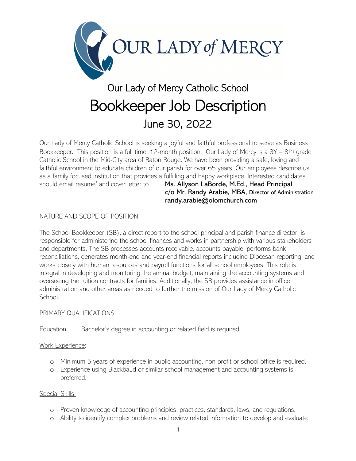

# Our Lady of Mercy Catholic School Bookkeeper Job Description June 30, 2022

Our Lady of Mercy Catholic School is seeking a joyful and faithful professional to serve as Business Bookkeeper. This position is a full time, 12-month position. Our Lady of Mercy is a 3Y – 8th grade Catholic School in the Mid-City area of Baton Rouge. We have been providing a safe, loving and faithful environment to educate children of our parish for over 65 years. Our employees describe us as a family focused institution that provides a fulfilling and happy workplace. Interested candidates should email resume' and cover letter to Ms. Allyson LaBorde, M.Ed., Head Principal

c/o Mr. Randy Arabie, MBA, Director of Administration randy.arabie@olomchurch.com

# NATURE AND SCOPE OF POSITION

The School Bookkeeper (SB), a direct report to the school principal and parish finance director, is responsible for administering the school finances and works in partnership with various stakeholders and departments. The SB processes accounts receivable, accounts payable, performs bank reconciliations, generates month-end and year-end financial reports including Diocesan reporting, and works closely with human resources and payroll functions for all school employees. This role is integral in developing and monitoring the annual budget, maintaining the accounting systems and overseeing the tuition contracts for families. Additionally, the SB provides assistance in office administration and other areas as needed to further the mission of Our Lady of Mercy Catholic School.

# PRIMARY QUALIFICATIONS

Education: Bachelor's degree in accounting or related field is required.

#### Work Experience:

- o Minimum 5 years of experience in public accounting, non-profit or school office is required.
- o Experience using Blackbaud or similar school management and accounting systems is preferred.

#### Special Skills:

- o Proven knowledge of accounting principles, practices, standards, laws, and regulations.
- o Ability to identify complex problems and review related information to develop and evaluate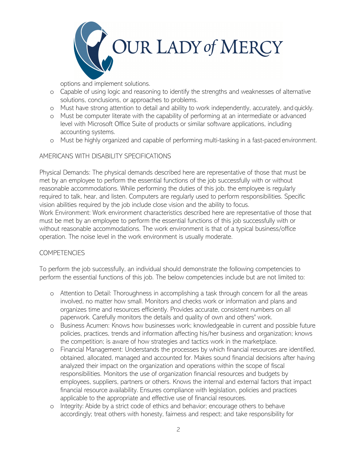

options and implement solutions.

- o Capable of using logic and reasoning to identify the strengths and weaknesses of alternative solutions, conclusions, or approaches to problems.
- o Must have strong attention to detail and ability to work independently, accurately, and quickly.
- o Must be computer literate with the capability of performing at an intermediate or advanced level with Microsoft Office Suite of products or similar software applications, including accounting systems.
- o Must be highly organized and capable of performing multi-tasking in a fast-paced environment.

# AMERICANS WITH DISABILITY SPECIFICATIONS

Physical Demands: The physical demands described here are representative of those that must be met by an employee to perform the essential functions of the job successfully with or without reasonable accommodations. While performing the duties of this job, the employee is regularly required to talk, hear, and listen. Computers are regularly used to perform responsibilities. Specific vision abilities required by the job include close vision and the ability to focus.

Work Environment: Work environment characteristics described here are representative of those that must be met by an employee to perform the essential functions of this job successfully with or without reasonable accommodations. The work environment is that of a typical business/office operation. The noise level in the work environment is usually moderate.

# COMPETENCIES

To perform the job successfully, an individual should demonstrate the following competencies to perform the essential functions of this job. The below competencies include but are not limited to:

- o Attention to Detail: Thoroughness in accomplishing a task through concern for all the areas involved, no matter how small. Monitors and checks work or information and plans and organizes time and resources efficiently. Provides accurate, consistent numbers on all paperwork. Carefully monitors the details and quality of own and others' work.
- o Business Acumen: Knows how businesses work; knowledgeable in current and possible future policies, practices, trends and information affecting his/her business and organization; knows the competition; is aware of how strategies and tactics work in the marketplace.
- o Financial Management: Understands the processes by which financial resources are identified, obtained, allocated, managed and accounted for. Makes sound financial decisions after having analyzed their impact on the organization and operations within the scope of fiscal responsibilities. Monitors the use of organization financial resources and budgets by employees, suppliers, partners or others. Knows the internal and external factors that impact financial resource availability. Ensures compliance with legislation, policies and practices applicable to the appropriate and effective use of financial resources.
- o Integrity: Abide by a strict code of ethics and behavior; encourage others to behave accordingly; treat others with honesty, fairness and respect; and take responsibility for